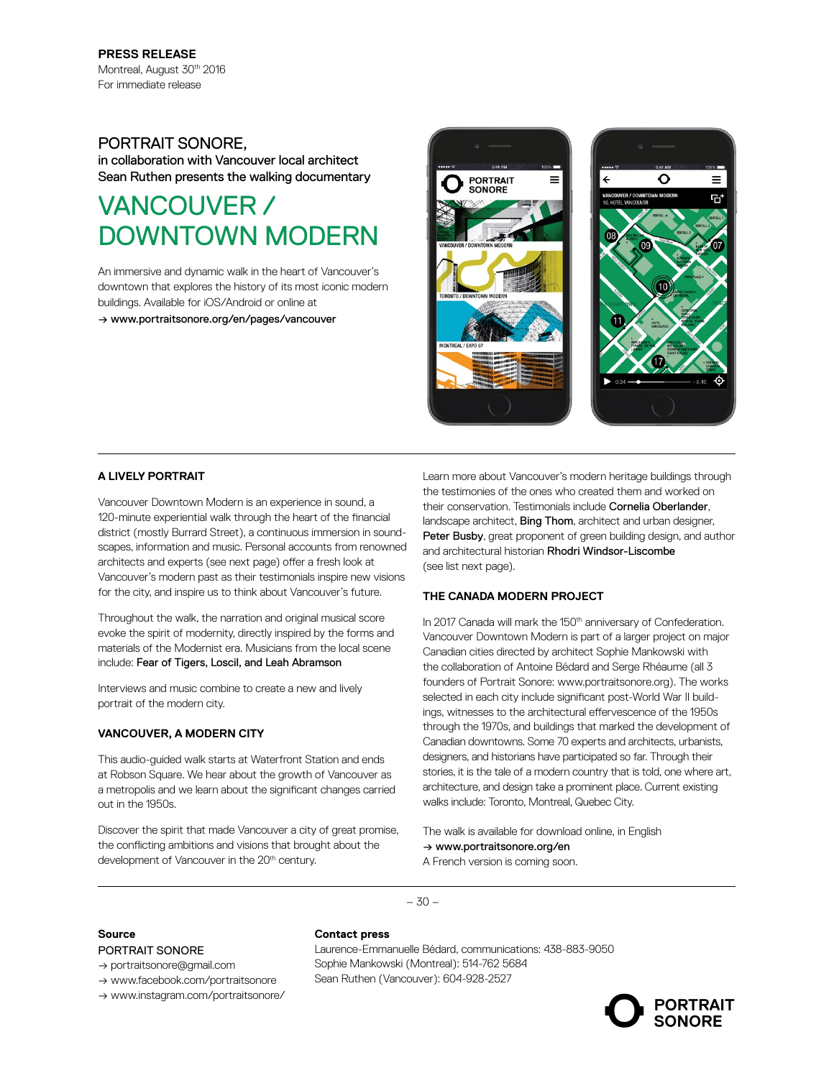PORTRAIT SONORE, in collaboration with Vancouver local architect Sean Ruthen presents the walking documentary

# VANCOUVER / DOWNTOWN MODERN

An immersive and dynamic walk in the heart of Vancouver's downtown that explores the history of its most iconic modern buildings. Available for iOS/Android or online at → www.portraitsonore.org/en/pages/vancouver



#### **A LIVELY PORTRAIT**

Vancouver Downtown Modern is an experience in sound, a 120-minute experiential walk through the heart of the financial district (mostly Burrard Street), a continuous immersion in soundscapes, information and music. Personal accounts from renowned architects and experts (see next page) offer a fresh look at Vancouver's modern past as their testimonials inspire new visions for the city, and inspire us to think about Vancouver's future.

Throughout the walk, the narration and original musical score evoke the spirit of modernity, directly inspired by the forms and materials of the Modernist era. Musicians from the local scene include: Fear of Tigers, Loscil, and Leah Abramson

Interviews and music combine to create a new and lively portrait of the modern city.

#### **VANCOUVER, A MODERN CITY**

This audio-guided walk starts at Waterfront Station and ends at Robson Square. We hear about the growth of Vancouver as a metropolis and we learn about the significant changes carried out in the 1950s.

Discover the spirit that made Vancouver a city of great promise, the conflicting ambitions and visions that brought about the development of Vancouver in the 20<sup>th</sup> century.

Learn more about Vancouver's modern heritage buildings through the testimonies of the ones who created them and worked on their conservation. Testimonials include Cornelia Oberlander, landscape architect, **Bing Thom**, architect and urban designer, Peter Busby, great proponent of green building design, and author and architectural historian Rhodri Windsor-Liscombe (see list next page).

#### **THE CANADA MODERN PROJECT**

In 2017 Canada will mark the 150<sup>th</sup> anniversary of Confederation. Vancouver Downtown Modern is part of a larger project on major Canadian cities directed by architect Sophie Mankowski with the collaboration of Antoine Bédard and Serge Rhéaume (all 3 founders of Portrait Sonore: [www.portraitsonore.org](http://www.portraitsonore.org)). The works selected in each city include significant post-World War II buildings, witnesses to the architectural effervescence of the 1950s through the 1970s, and buildings that marked the development of Canadian downtowns. Some 70 experts and architects, urbanists, designers, and historians have participated so far. Through their stories, it is the tale of a modern country that is told, one where art, architecture, and design take a prominent place. Current existing walks include: Toronto, Montreal, Quebec City.

The walk is available for download online, in English → www.portraitsonore.org/en A French version is coming soon.

– 30 –

## **Source**

### PORTRAIT SONORE

→ [portraitsonore@gmail.c](mailto:portraitsonore@gmail.net)om

→ [www.facebook.com/portraitsonore](http://www.facebook.com/portraitsonore)

→ www.instagram.com/portraitsonore/

**Contact press** Laurence-Emmanuelle Bédard, communications: 438-883-9050 Sophie Mankowski (Montreal): 514-762 5684 Sean Ruthen (Vancouver): [604-928-2527](tel:604-928-2527)

![](_page_0_Picture_23.jpeg)